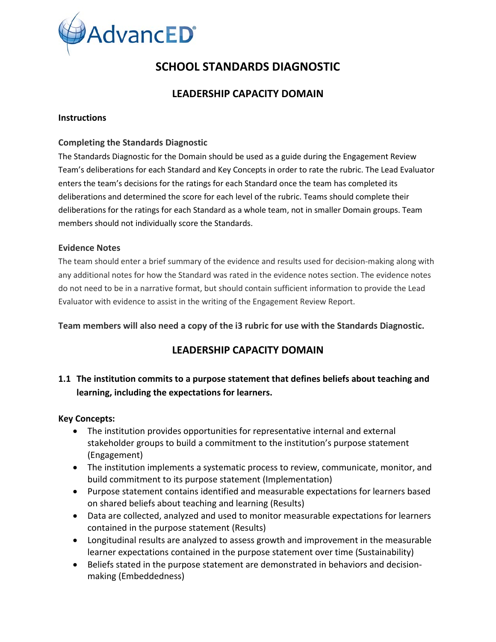

# **SCHOOL STANDARDS DIAGNOSTIC**

# **LEADERSHIP CAPACITY DOMAIN**

#### **Instructions**

#### **Completing the Standards Diagnostic**

The Standards Diagnostic for the Domain should be used as a guide during the Engagement Review Team's deliberations for each Standard and Key Concepts in order to rate the rubric. The Lead Evaluator enters the team's decisions for the ratings for each Standard once the team has completed its deliberations and determined the score for each level of the rubric. Teams should complete their deliberations for the ratings for each Standard as a whole team, not in smaller Domain groups. Team members should not individually score the Standards.

#### **Evidence Notes**

The team should enter a brief summary of the evidence and results used for decision-making along with any additional notes for how the Standard was rated in the evidence notes section. The evidence notes do not need to be in a narrative format, but should contain sufficient information to provide the Lead Evaluator with evidence to assist in the writing of the Engagement Review Report.

#### **Team members will also need a copy of the i3 rubric for use with the Standards Diagnostic.**

# **LEADERSHIP CAPACITY DOMAIN**

# **1.1 The institution commits to a purpose statement that defines beliefs about teaching and learning, including the expectations for learners.**

#### **Key Concepts:**

- The institution provides opportunities for representative internal and external stakeholder groups to build a commitment to the institution's purpose statement (Engagement)
- The institution implements a systematic process to review, communicate, monitor, and build commitment to its purpose statement (Implementation)
- Purpose statement contains identified and measurable expectations for learners based on shared beliefs about teaching and learning (Results)
- Data are collected, analyzed and used to monitor measurable expectations for learners contained in the purpose statement (Results)
- Longitudinal results are analyzed to assess growth and improvement in the measurable learner expectations contained in the purpose statement over time (Sustainability)
- Beliefs stated in the purpose statement are demonstrated in behaviors and decisionmaking (Embeddedness)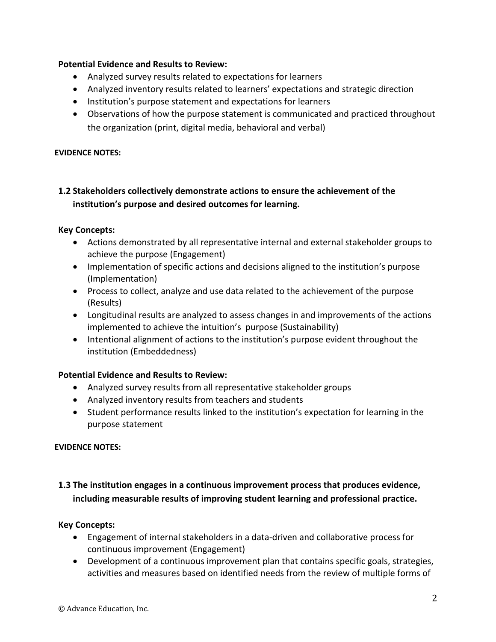#### **Potential Evidence and Results to Review:**

- Analyzed survey results related to expectations for learners
- Analyzed inventory results related to learners' expectations and strategic direction
- Institution's purpose statement and expectations for learners
- Observations of how the purpose statement is communicated and practiced throughout the organization (print, digital media, behavioral and verbal)

#### **EVIDENCE NOTES:**

# **1.2 Stakeholders collectively demonstrate actions to ensure the achievement of the institution's purpose and desired outcomes for learning.**

#### **Key Concepts:**

- Actions demonstrated by all representative internal and external stakeholder groups to achieve the purpose (Engagement)
- Implementation of specific actions and decisions aligned to the institution's purpose (Implementation)
- Process to collect, analyze and use data related to the achievement of the purpose (Results)
- Longitudinal results are analyzed to assess changes in and improvements of the actions implemented to achieve the intuition's purpose (Sustainability)
- Intentional alignment of actions to the institution's purpose evident throughout the institution (Embeddedness)

# **Potential Evidence and Results to Review:**

- Analyzed survey results from all representative stakeholder groups
- Analyzed inventory results from teachers and students
- Student performance results linked to the institution's expectation for learning in the purpose statement

#### **EVIDENCE NOTES:**

# **1.3 The institution engages in a continuous improvement process that produces evidence, including measurable results of improving student learning and professional practice.**

# **Key Concepts:**

- Engagement of internal stakeholders in a data-driven and collaborative process for continuous improvement (Engagement)
- Development of a continuous improvement plan that contains specific goals, strategies, activities and measures based on identified needs from the review of multiple forms of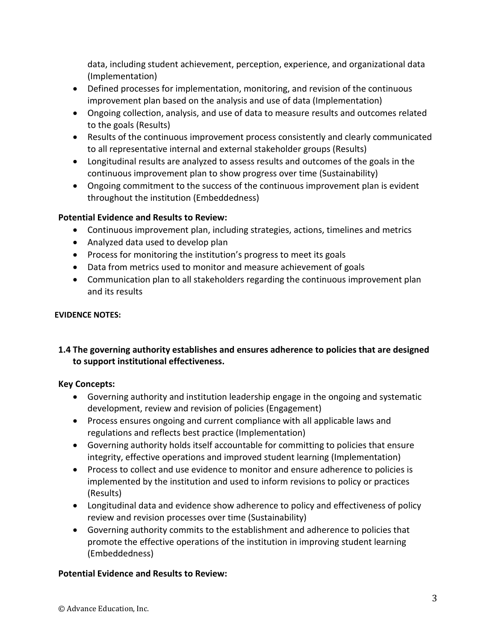data, including student achievement, perception, experience, and organizational data (Implementation)

- Defined processes for implementation, monitoring, and revision of the continuous improvement plan based on the analysis and use of data (Implementation)
- Ongoing collection, analysis, and use of data to measure results and outcomes related to the goals (Results)
- Results of the continuous improvement process consistently and clearly communicated to all representative internal and external stakeholder groups (Results)
- Longitudinal results are analyzed to assess results and outcomes of the goals in the continuous improvement plan to show progress over time (Sustainability)
- Ongoing commitment to the success of the continuous improvement plan is evident throughout the institution (Embeddedness)

# **Potential Evidence and Results to Review:**

- Continuous improvement plan, including strategies, actions, timelines and metrics
- Analyzed data used to develop plan
- Process for monitoring the institution's progress to meet its goals
- Data from metrics used to monitor and measure achievement of goals
- Communication plan to all stakeholders regarding the continuous improvement plan and its results

# **EVIDENCE NOTES:**

# **1.4 The governing authority establishes and ensures adherence to policies that are designed to support institutional effectiveness.**

# **Key Concepts:**

- Governing authority and institution leadership engage in the ongoing and systematic development, review and revision of policies (Engagement)
- Process ensures ongoing and current compliance with all applicable laws and regulations and reflects best practice (Implementation)
- Governing authority holds itself accountable for committing to policies that ensure integrity, effective operations and improved student learning (Implementation)
- Process to collect and use evidence to monitor and ensure adherence to policies is implemented by the institution and used to inform revisions to policy or practices (Results)
- Longitudinal data and evidence show adherence to policy and effectiveness of policy review and revision processes over time (Sustainability)
- Governing authority commits to the establishment and adherence to policies that promote the effective operations of the institution in improving student learning (Embeddedness)

# **Potential Evidence and Results to Review:**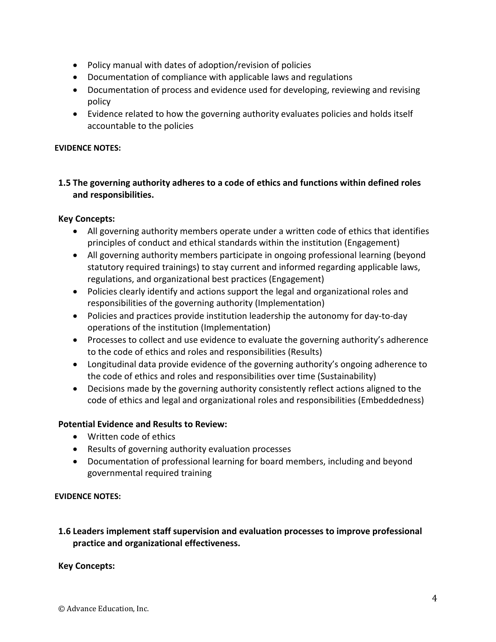- Policy manual with dates of adoption/revision of policies
- Documentation of compliance with applicable laws and regulations
- Documentation of process and evidence used for developing, reviewing and revising policy
- Evidence related to how the governing authority evaluates policies and holds itself accountable to the policies

#### **EVIDENCE NOTES:**

# **1.5 The governing authority adheres to a code of ethics and functions within defined roles and responsibilities.**

#### **Key Concepts:**

- All governing authority members operate under a written code of ethics that identifies principles of conduct and ethical standards within the institution (Engagement)
- All governing authority members participate in ongoing professional learning (beyond statutory required trainings) to stay current and informed regarding applicable laws, regulations, and organizational best practices (Engagement)
- Policies clearly identify and actions support the legal and organizational roles and responsibilities of the governing authority (Implementation)
- Policies and practices provide institution leadership the autonomy for day-to-day operations of the institution (Implementation)
- Processes to collect and use evidence to evaluate the governing authority's adherence to the code of ethics and roles and responsibilities (Results)
- Longitudinal data provide evidence of the governing authority's ongoing adherence to the code of ethics and roles and responsibilities over time (Sustainability)
- Decisions made by the governing authority consistently reflect actions aligned to the code of ethics and legal and organizational roles and responsibilities (Embeddedness)

# **Potential Evidence and Results to Review:**

- Written code of ethics
- Results of governing authority evaluation processes
- Documentation of professional learning for board members, including and beyond governmental required training

#### **EVIDENCE NOTES:**

# **1.6 Leaders implement staff supervision and evaluation processes to improve professional practice and organizational effectiveness.**

# **Key Concepts:**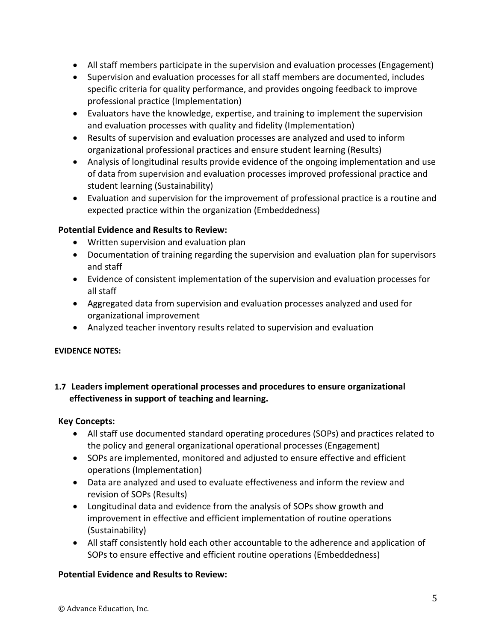- All staff members participate in the supervision and evaluation processes (Engagement)
- Supervision and evaluation processes for all staff members are documented, includes specific criteria for quality performance, and provides ongoing feedback to improve professional practice (Implementation)
- Evaluators have the knowledge, expertise, and training to implement the supervision and evaluation processes with quality and fidelity (Implementation)
- Results of supervision and evaluation processes are analyzed and used to inform organizational professional practices and ensure student learning (Results)
- Analysis of longitudinal results provide evidence of the ongoing implementation and use of data from supervision and evaluation processes improved professional practice and student learning (Sustainability)
- Evaluation and supervision for the improvement of professional practice is a routine and expected practice within the organization (Embeddedness)

# **Potential Evidence and Results to Review:**

- Written supervision and evaluation plan
- Documentation of training regarding the supervision and evaluation plan for supervisors and staff
- Evidence of consistent implementation of the supervision and evaluation processes for all staff
- Aggregated data from supervision and evaluation processes analyzed and used for organizational improvement
- Analyzed teacher inventory results related to supervision and evaluation

# **EVIDENCE NOTES:**

# **1.7 Leaders implement operational processes and procedures to ensure organizational effectiveness in support of teaching and learning.**

# **Key Concepts:**

- All staff use documented standard operating procedures (SOPs) and practices related to the policy and general organizational operational processes (Engagement)
- SOPs are implemented, monitored and adjusted to ensure effective and efficient operations (Implementation)
- Data are analyzed and used to evaluate effectiveness and inform the review and revision of SOPs (Results)
- Longitudinal data and evidence from the analysis of SOPs show growth and improvement in effective and efficient implementation of routine operations (Sustainability)
- All staff consistently hold each other accountable to the adherence and application of SOPs to ensure effective and efficient routine operations (Embeddedness)

# **Potential Evidence and Results to Review:**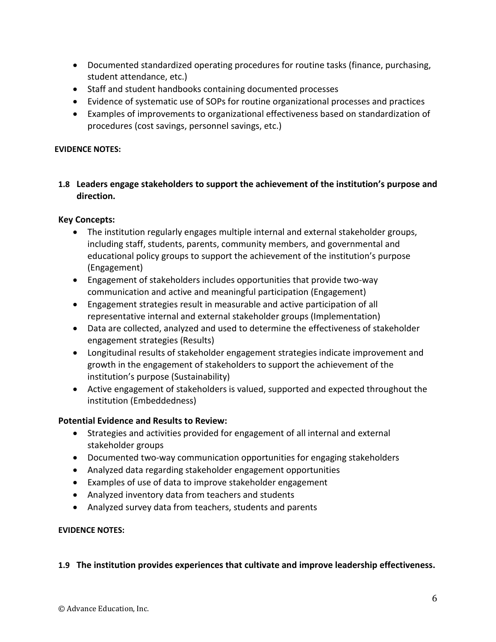- Documented standardized operating procedures for routine tasks (finance, purchasing, student attendance, etc.)
- Staff and student handbooks containing documented processes
- Evidence of systematic use of SOPs for routine organizational processes and practices
- Examples of improvements to organizational effectiveness based on standardization of procedures (cost savings, personnel savings, etc.)

#### **EVIDENCE NOTES:**

#### **1.8 Leaders engage stakeholders to support the achievement of the institution's purpose and direction.**

#### **Key Concepts:**

- The institution regularly engages multiple internal and external stakeholder groups, including staff, students, parents, community members, and governmental and educational policy groups to support the achievement of the institution's purpose (Engagement)
- Engagement of stakeholders includes opportunities that provide two-way communication and active and meaningful participation (Engagement)
- Engagement strategies result in measurable and active participation of all representative internal and external stakeholder groups (Implementation)
- Data are collected, analyzed and used to determine the effectiveness of stakeholder engagement strategies (Results)
- Longitudinal results of stakeholder engagement strategies indicate improvement and growth in the engagement of stakeholders to support the achievement of the institution's purpose (Sustainability)
- Active engagement of stakeholders is valued, supported and expected throughout the institution (Embeddedness)

#### **Potential Evidence and Results to Review:**

- Strategies and activities provided for engagement of all internal and external stakeholder groups
- Documented two-way communication opportunities for engaging stakeholders
- Analyzed data regarding stakeholder engagement opportunities
- Examples of use of data to improve stakeholder engagement
- Analyzed inventory data from teachers and students
- Analyzed survey data from teachers, students and parents

#### **EVIDENCE NOTES:**

#### **1.9 The institution provides experiences that cultivate and improve leadership effectiveness.**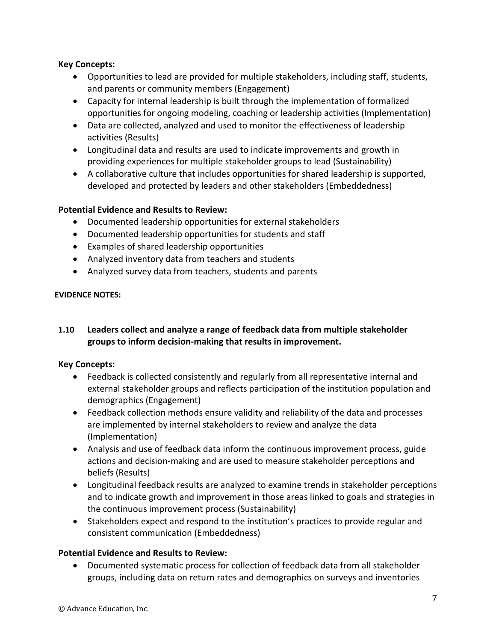#### **Key Concepts:**

- Opportunities to lead are provided for multiple stakeholders, including staff, students, and parents or community members (Engagement)
- Capacity for internal leadership is built through the implementation of formalized opportunities for ongoing modeling, coaching or leadership activities (Implementation)
- Data are collected, analyzed and used to monitor the effectiveness of leadership activities (Results)
- Longitudinal data and results are used to indicate improvements and growth in providing experiences for multiple stakeholder groups to lead (Sustainability)
- A collaborative culture that includes opportunities for shared leadership is supported, developed and protected by leaders and other stakeholders (Embeddedness)

# **Potential Evidence and Results to Review:**

- Documented leadership opportunities for external stakeholders
- Documented leadership opportunities for students and staff
- Examples of shared leadership opportunities
- Analyzed inventory data from teachers and students
- Analyzed survey data from teachers, students and parents

# **EVIDENCE NOTES:**

# **1.10 Leaders collect and analyze a range of feedback data from multiple stakeholder groups to inform decision-making that results in improvement.**

# **Key Concepts:**

- Feedback is collected consistently and regularly from all representative internal and external stakeholder groups and reflects participation of the institution population and demographics (Engagement)
- Feedback collection methods ensure validity and reliability of the data and processes are implemented by internal stakeholders to review and analyze the data (Implementation)
- Analysis and use of feedback data inform the continuous improvement process, guide actions and decision-making and are used to measure stakeholder perceptions and beliefs (Results)
- Longitudinal feedback results are analyzed to examine trends in stakeholder perceptions and to indicate growth and improvement in those areas linked to goals and strategies in the continuous improvement process (Sustainability)
- Stakeholders expect and respond to the institution's practices to provide regular and consistent communication (Embeddedness)

# **Potential Evidence and Results to Review:**

• Documented systematic process for collection of feedback data from all stakeholder groups, including data on return rates and demographics on surveys and inventories